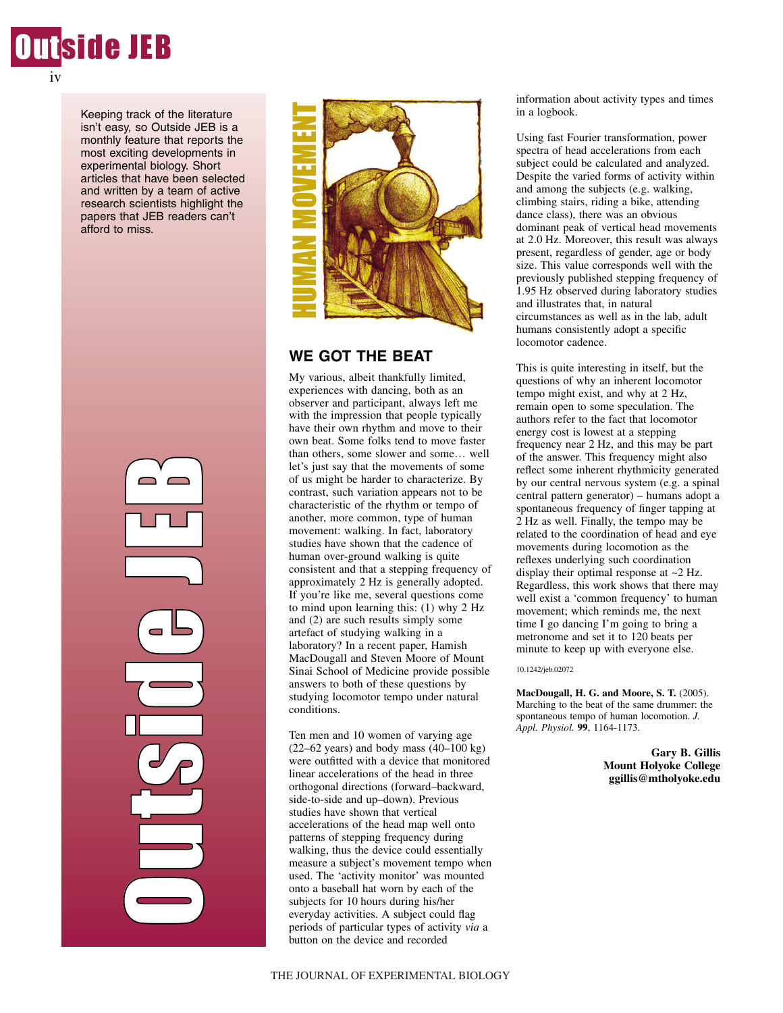

iv

Keeping track of the literature isn't easy, so Outside JEB is a monthly feature that reports the most exciting developments in experimental biology. Short articles that have been selected and written by a team of active research scientists highlight the papers that JEB readers can't afford to miss.





# **WE GOT THE BEAT**

My various, albeit thankfully limited, experiences with dancing, both as an observer and participant, always left me with the impression that people typically have their own rhythm and move to their own beat. Some folks tend to move faster than others, some slower and some… well let's just say that the movements of some of us might be harder to characterize. By contrast, such variation appears not to be characteristic of the rhythm or tempo of another, more common, type of human movement: walking. In fact, laboratory studies have shown that the cadence of human over-ground walking is quite consistent and that a stepping frequency of approximately 2 Hz is generally adopted. If you're like me, several questions come to mind upon learning this: (1) why 2 Hz and (2) are such results simply some artefact of studying walking in a laboratory? In a recent paper, Hamish MacDougall and Steven Moore of Mount Sinai School of Medicine provide possible answers to both of these questions by studying locomotor tempo under natural conditions.

Ten men and 10 women of varying age  $(22–62 \text{ years})$  and body mass  $(40–100 \text{ kg})$ were outfitted with a device that monitored linear accelerations of the head in three orthogonal directions (forward–backward, side-to-side and up–down). Previous studies have shown that vertical accelerations of the head map well onto patterns of stepping frequency during walking, thus the device could essentially measure a subject's movement tempo when used. The 'activity monitor' was mounted onto a baseball hat worn by each of the subjects for 10 hours during his/her everyday activities. A subject could flag periods of particular types of activity *via* a button on the device and recorded

information about activity types and times in a logbook.

Using fast Fourier transformation, power spectra of head accelerations from each subject could be calculated and analyzed. Despite the varied forms of activity within and among the subjects (e.g. walking, climbing stairs, riding a bike, attending dance class), there was an obvious dominant peak of vertical head movements at 2.0 Hz. Moreover, this result was always present, regardless of gender, age or body size. This value corresponds well with the previously published stepping frequency of 1.95 Hz observed during laboratory studies and illustrates that, in natural circumstances as well as in the lab, adult humans consistently adopt a specific locomotor cadence.

This is quite interesting in itself, but the questions of why an inherent locomotor tempo might exist, and why at 2 Hz, remain open to some speculation. The authors refer to the fact that locomotor energy cost is lowest at a stepping frequency near 2 Hz, and this may be part of the answer. This frequency might also reflect some inherent rhythmicity generated by our central nervous system (e.g. a spinal central pattern generator) – humans adopt a spontaneous frequency of finger tapping at 2 Hz as well. Finally, the tempo may be related to the coordination of head and eye movements during locomotion as the reflexes underlying such coordination display their optimal response at  $\sim$ 2 Hz. Regardless, this work shows that there may well exist a 'common frequency' to human movement; which reminds me, the next time I go dancing I'm going to bring a metronome and set it to 120 beats per minute to keep up with everyone else.

### 10.1242/jeb.02072

**MacDougall, H. G. and Moore, S. T.** (2005). Marching to the beat of the same drummer: the spontaneous tempo of human locomotion. *J. Appl. Physiol.* **99**, 1164-1173.

> **Gary B. Gillis Mount Holyoke College ggillis@mtholyoke.edu**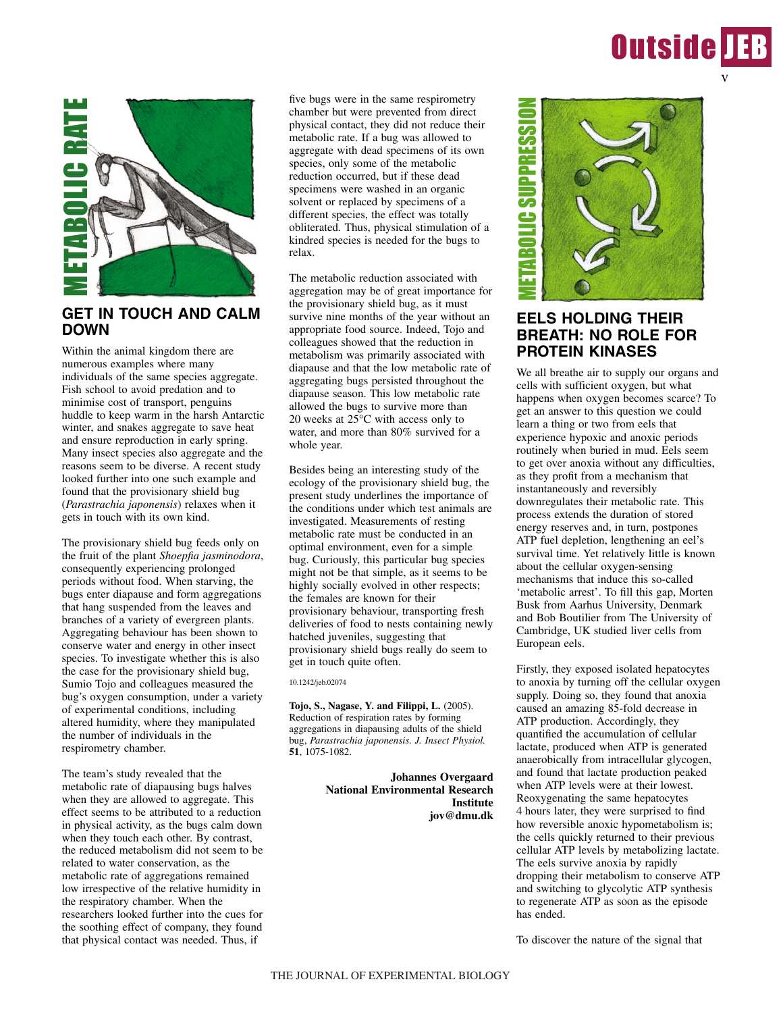



### **GET IN TOUCH AND CALM DOWN**

Within the animal kingdom there are numerous examples where many individuals of the same species aggregate. Fish school to avoid predation and to minimise cost of transport, penguins huddle to keep warm in the harsh Antarctic winter, and snakes aggregate to save heat and ensure reproduction in early spring. Many insect species also aggregate and the reasons seem to be diverse. A recent study looked further into one such example and found that the provisionary shield bug (*Parastrachia japonensis*) relaxes when it gets in touch with its own kind.

The provisionary shield bug feeds only on the fruit of the plant *Shoepfia jasminodora*, consequently experiencing prolonged periods without food. When starving, the bugs enter diapause and form aggregations that hang suspended from the leaves and branches of a variety of evergreen plants. Aggregating behaviour has been shown to conserve water and energy in other insect species. To investigate whether this is also the case for the provisionary shield bug, Sumio Tojo and colleagues measured the bug's oxygen consumption, under a variety of experimental conditions, including altered humidity, where they manipulated the number of individuals in the respirometry chamber.

The team's study revealed that the metabolic rate of diapausing bugs halves when they are allowed to aggregate. This effect seems to be attributed to a reduction in physical activity, as the bugs calm down when they touch each other. By contrast, the reduced metabolism did not seem to be related to water conservation, as the metabolic rate of aggregations remained low irrespective of the relative humidity in the respiratory chamber. When the researchers looked further into the cues for the soothing effect of company, they found that physical contact was needed. Thus, if

five bugs were in the same respirometry chamber but were prevented from direct physical contact, they did not reduce their metabolic rate. If a bug was allowed to aggregate with dead specimens of its own species, only some of the metabolic reduction occurred, but if these dead specimens were washed in an organic solvent or replaced by specimens of a different species, the effect was totally obliterated. Thus, physical stimulation of a kindred species is needed for the bugs to relax.

The metabolic reduction associated with aggregation may be of great importance for the provisionary shield bug, as it must survive nine months of the year without an appropriate food source. Indeed, Tojo and colleagues showed that the reduction in metabolism was primarily associated with diapause and that the low metabolic rate of aggregating bugs persisted throughout the diapause season. This low metabolic rate allowed the bugs to survive more than 20 weeks at  $25^{\circ}$ C with access only to water, and more than 80% survived for a whole year.

Besides being an interesting study of the ecology of the provisionary shield bug, the present study underlines the importance of the conditions under which test animals are investigated. Measurements of resting metabolic rate must be conducted in an optimal environment, even for a simple bug. Curiously, this particular bug species might not be that simple, as it seems to be highly socially evolved in other respects; the females are known for their provisionary behaviour, transporting fresh deliveries of food to nests containing newly hatched juveniles, suggesting that provisionary shield bugs really do seem to get in touch quite often.

10.1242/jeb.02074

**Tojo, S., Nagase, Y. and Filippi, L.** (2005). Reduction of respiration rates by forming aggregations in diapausing adults of the shield bug, *Parastrachia japonensis. J. Insect Physiol.* **51**, 1075-1082.

> **Johannes Overgaard National Environmental Research Institute jov@dmu.dk**



# **EELS HOLDING THEIR BREATH: NO ROLE FOR PROTEIN KINASES**

We all breathe air to supply our organs and cells with sufficient oxygen, but what happens when oxygen becomes scarce? To get an answer to this question we could learn a thing or two from eels that experience hypoxic and anoxic periods routinely when buried in mud. Eels seem to get over anoxia without any difficulties, as they profit from a mechanism that instantaneously and reversibly downregulates their metabolic rate. This process extends the duration of stored energy reserves and, in turn, postpones ATP fuel depletion, lengthening an eel's survival time. Yet relatively little is known about the cellular oxygen-sensing mechanisms that induce this so-called 'metabolic arrest'. To fill this gap, Morten Busk from Aarhus University, Denmark and Bob Boutilier from The University of Cambridge, UK studied liver cells from European eels.

Firstly, they exposed isolated hepatocytes to anoxia by turning off the cellular oxygen supply. Doing so, they found that anoxia caused an amazing 85-fold decrease in ATP production. Accordingly, they quantified the accumulation of cellular lactate, produced when ATP is generated anaerobically from intracellular glycogen, and found that lactate production peaked when ATP levels were at their lowest. Reoxygenating the same hepatocytes 4 hours later, they were surprised to find how reversible anoxic hypometabolism is; the cells quickly returned to their previous cellular ATP levels by metabolizing lactate. The eels survive anoxia by rapidly dropping their metabolism to conserve ATP and switching to glycolytic ATP synthesis to regenerate ATP as soon as the episode has ended.

To discover the nature of the signal that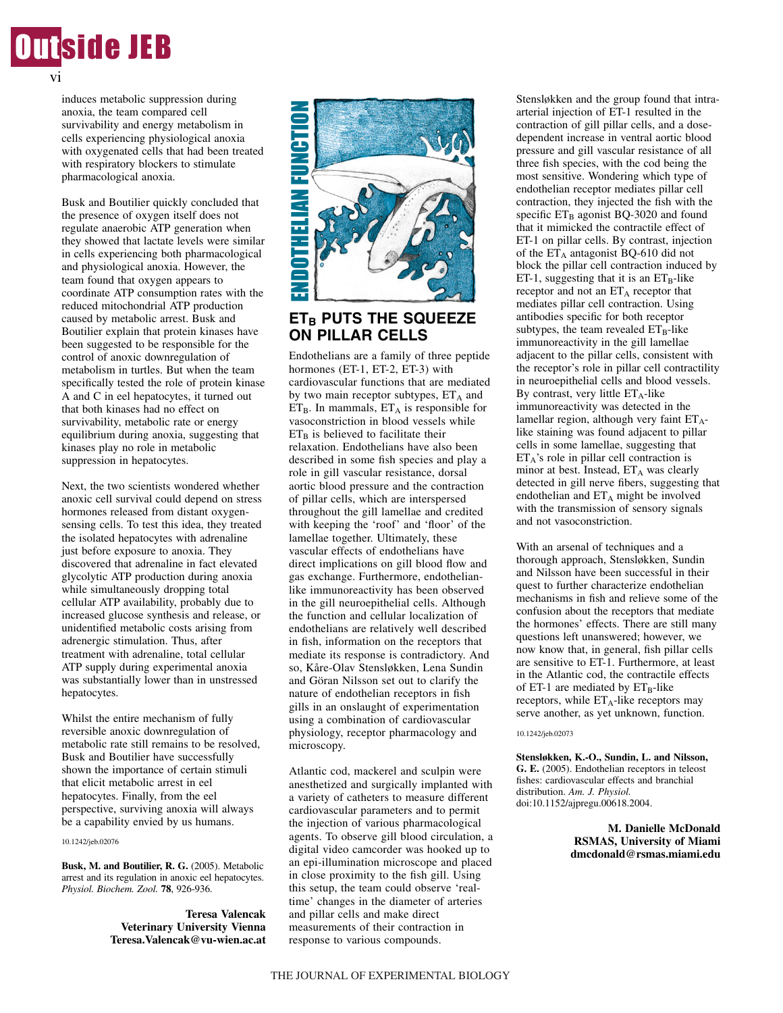

induces metabolic suppression during anoxia, the team compared cell survivability and energy metabolism in cells experiencing physiological anoxia with oxygenated cells that had been treated with respiratory blockers to stimulate pharmacological anoxia.

Busk and Boutilier quickly concluded that the presence of oxygen itself does not regulate anaerobic ATP generation when they showed that lactate levels were similar in cells experiencing both pharmacological and physiological anoxia. However, the team found that oxygen appears to coordinate ATP consumption rates with the reduced mitochondrial ATP production caused by metabolic arrest. Busk and Boutilier explain that protein kinases have been suggested to be responsible for the control of anoxic downregulation of metabolism in turtles. But when the team specifically tested the role of protein kinase A and C in eel hepatocytes, it turned out that both kinases had no effect on survivability, metabolic rate or energy equilibrium during anoxia, suggesting that kinases play no role in metabolic suppression in hepatocytes.

Next, the two scientists wondered whether anoxic cell survival could depend on stress hormones released from distant oxygensensing cells. To test this idea, they treated the isolated hepatocytes with adrenaline just before exposure to anoxia. They discovered that adrenaline in fact elevated glycolytic ATP production during anoxia while simultaneously dropping total cellular ATP availability, probably due to increased glucose synthesis and release, or unidentified metabolic costs arising from adrenergic stimulation. Thus, after treatment with adrenaline, total cellular ATP supply during experimental anoxia was substantially lower than in unstressed hepatocytes.

Whilst the entire mechanism of fully reversible anoxic downregulation of metabolic rate still remains to be resolved, Busk and Boutilier have successfully shown the importance of certain stimuli that elicit metabolic arrest in eel hepatocytes. Finally, from the eel perspective, surviving anoxia will always be a capability envied by us humans.

#### 10.1242/jeb.02076

Busk, M. and Boutilier, R. G. (2005). Metabolic arrest and its regulation in anoxic eel hepatocytes. *Physiol. Biochem. Zool.* **78**, 926-936.

> **Teresa Valencak Veterinary University Vienna Teresa.Valencak@vu-wien.ac.at**



## **ET<sub>B</sub> PUTS THE SQUEEZE ON PILLAR CELLS**

Endothelians are a family of three peptide hormones (ET-1, ET-2, ET-3) with cardiovascular functions that are mediated by two main receptor subtypes,  $ET_A$  and  $ET_B$ . In mammals,  $ET_A$  is responsible for vasoconstriction in blood vessels while  $ET_B$  is believed to facilitate their relaxation. Endothelians have also been described in some fish species and play a role in gill vascular resistance, dorsal aortic blood pressure and the contraction of pillar cells, which are interspersed throughout the gill lamellae and credited with keeping the 'roof' and 'floor' of the lamellae together. Ultimately, these vascular effects of endothelians have direct implications on gill blood flow and gas exchange. Furthermore, endothelianlike immunoreactivity has been observed in the gill neuroepithelial cells. Although the function and cellular localization of endothelians are relatively well described in fish, information on the receptors that mediate its response is contradictory. And so, Kåre-Olav Stensløkken, Lena Sundin and Göran Nilsson set out to clarify the nature of endothelian receptors in fish gills in an onslaught of experimentation using a combination of cardiovascular physiology, receptor pharmacology and microscopy.

Atlantic cod, mackerel and sculpin were anesthetized and surgically implanted with a variety of catheters to measure different cardiovascular parameters and to permit the injection of various pharmacological agents. To observe gill blood circulation, a digital video camcorder was hooked up to an epi-illumination microscope and placed in close proximity to the fish gill. Using this setup, the team could observe 'realtime' changes in the diameter of arteries and pillar cells and make direct measurements of their contraction in response to various compounds.

Stensløkken and the group found that intraarterial injection of ET-1 resulted in the contraction of gill pillar cells, and a dosedependent increase in ventral aortic blood pressure and gill vascular resistance of all three fish species, with the cod being the most sensitive. Wondering which type of endothelian receptor mediates pillar cell contraction, they injected the fish with the specific  $ET_B$  agonist BQ-3020 and found that it mimicked the contractile effect of ET-1 on pillar cells. By contrast, injection of the  $ET_A$  antagonist BQ-610 did not block the pillar cell contraction induced by ET-1, suggesting that it is an  $ET_B$ -like receptor and not an  $ET_A$  receptor that mediates pillar cell contraction. Using antibodies specific for both receptor subtypes, the team revealed  $ET_B$ -like immunoreactivity in the gill lamellae adjacent to the pillar cells, consistent with the receptor's role in pillar cell contractility in neuroepithelial cells and blood vessels. By contrast, very little  $ET_A$ -like immunoreactivity was detected in the lamellar region, although very faint  $ET_A$ like staining was found adjacent to pillar cells in some lamellae, suggesting that ETA's role in pillar cell contraction is minor at best. Instead,  $ET_A$  was clearly detected in gill nerve fibers, suggesting that endothelian and  $ET_A$  might be involved with the transmission of sensory signals and not vasoconstriction.

With an arsenal of techniques and a thorough approach, Stensløkken, Sundin and Nilsson have been successful in their quest to further characterize endothelian mechanisms in fish and relieve some of the confusion about the receptors that mediate the hormones' effects. There are still many questions left unanswered; however, we now know that, in general, fish pillar cells are sensitive to ET-1. Furthermore, at least in the Atlantic cod, the contractile effects of ET-1 are mediated by  $ET_B$ -like receptors, while  $ET_A$ -like receptors may serve another, as yet unknown, function.

#### 10.1242/jeb.02073

**Stensløkken, K.-O., Sundin, L. and Nilsson, G. E.** (2005). Endothelian receptors in teleost fishes: cardiovascular effects and branchial distribution. *Am. J. Physiol.* doi:10.1152/ajpregu.00618.2004.

> **M. Danielle McDonald RSMAS, University of Miami dmcdonald@rsmas.miami.edu**